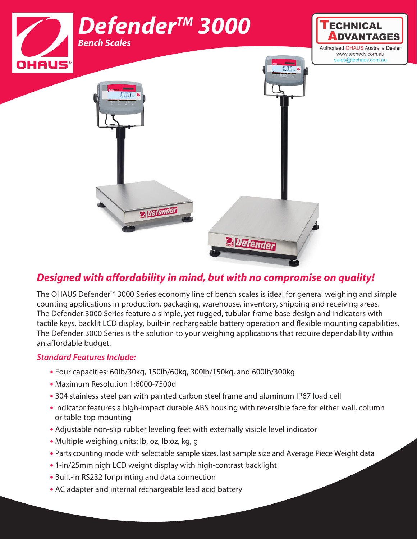

## *Designed with affordability in mind, but with no compromise on quality!*

The OHAUS Defender<sup>™</sup> 3000 Series economy line of bench scales is ideal for general weighing and simple counting applications in production, packaging, warehouse, inventory, shipping and receiving areas. The Defender 3000 Series feature a simple, yet rugged, tubular-frame base design and indicators with tactile keys, backlit LCD display, built-in rechargeable battery operation and flexible mounting capabilities. The Defender 3000 Series is the solution to your weighing applications that require dependability within an affordable budget.

### *Standard Features Include:*

- **•** Four capacities: 60lb/30kg, 150lb/60kg, 300lb/150kg, and 600lb/300kg
- **•** Maximum Resolution 1:6000-7500d
- **•** 304 stainless steel pan with painted carbon steel frame and aluminum IP67 load cell
- **•** Indicator features a high-impact durable ABS housing with reversible face for either wall, column or table-top mounting
- **•** Adjustable non-slip rubber leveling feet with externally visible level indicator
- **•** Multiple weighing units: lb, oz, lb:oz, kg, g
- **•** Parts counting mode with selectable sample sizes, last sample size and Average Piece Weight data
- **•** 1-in/25mm high LCD weight display with high-contrast backlight
- **•** Built-in RS232 for printing and data connection
- **•** AC adapter and internal rechargeable lead acid battery